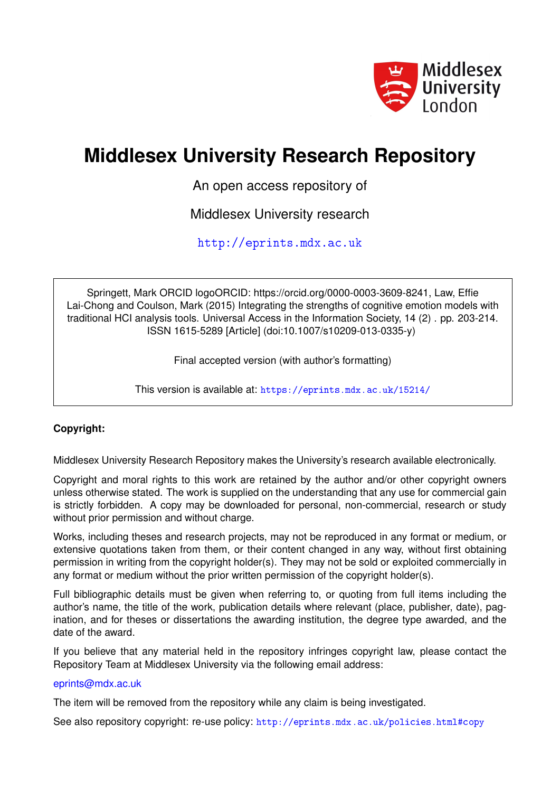

# **Middlesex University Research Repository**

An open access repository of

Middlesex University research

<http://eprints.mdx.ac.uk>

Springett, Mark ORCID logoORCID: https://orcid.org/0000-0003-3609-8241, Law, Effie Lai-Chong and Coulson, Mark (2015) Integrating the strengths of cognitive emotion models with traditional HCI analysis tools. Universal Access in the Information Society, 14 (2) . pp. 203-214. ISSN 1615-5289 [Article] (doi:10.1007/s10209-013-0335-y)

Final accepted version (with author's formatting)

This version is available at: <https://eprints.mdx.ac.uk/15214/>

## **Copyright:**

Middlesex University Research Repository makes the University's research available electronically.

Copyright and moral rights to this work are retained by the author and/or other copyright owners unless otherwise stated. The work is supplied on the understanding that any use for commercial gain is strictly forbidden. A copy may be downloaded for personal, non-commercial, research or study without prior permission and without charge.

Works, including theses and research projects, may not be reproduced in any format or medium, or extensive quotations taken from them, or their content changed in any way, without first obtaining permission in writing from the copyright holder(s). They may not be sold or exploited commercially in any format or medium without the prior written permission of the copyright holder(s).

Full bibliographic details must be given when referring to, or quoting from full items including the author's name, the title of the work, publication details where relevant (place, publisher, date), pagination, and for theses or dissertations the awarding institution, the degree type awarded, and the date of the award.

If you believe that any material held in the repository infringes copyright law, please contact the Repository Team at Middlesex University via the following email address:

### [eprints@mdx.ac.uk](mailto:eprints@mdx.ac.uk)

The item will be removed from the repository while any claim is being investigated.

See also repository copyright: re-use policy: <http://eprints.mdx.ac.uk/policies.html#copy>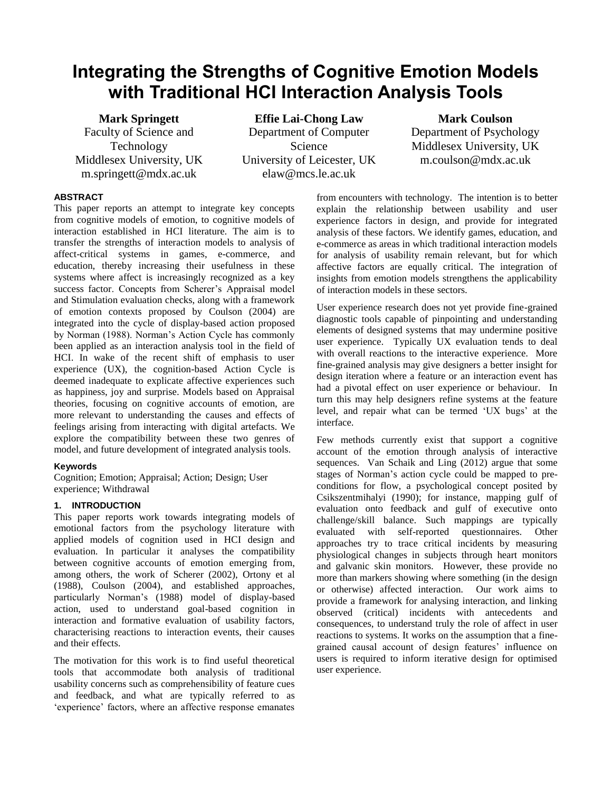# **Integrating the Strengths of Cognitive Emotion Models with Traditional HCI Interaction Analysis Tools**

**Mark Springett** Faculty of Science and Technology Middlesex University, UK [m.springett@mdx.ac.uk](mailto:m.springett@mdx.ac.uk)

**Effie Lai-Chong Law** Department of Computer Science University of Leicester, UK elaw@mcs.le.ac.uk

**Mark Coulson** Department of Psychology Middlesex University, UK m.coulson@mdx.ac.uk

#### **ABSTRACT**

This paper reports an attempt to integrate key concepts from cognitive models of emotion, to cognitive models of interaction established in HCI literature. The aim is to transfer the strengths of interaction models to analysis of affect-critical systems in games, e-commerce, and education, thereby increasing their usefulness in these systems where affect is increasingly recognized as a key success factor. Concepts from Scherer's Appraisal model and Stimulation evaluation checks, along with a framework of emotion contexts proposed by Coulson (2004) are integrated into the cycle of display-based action proposed by Norman (1988). Norman's Action Cycle has commonly been applied as an interaction analysis tool in the field of HCI. In wake of the recent shift of emphasis to user experience (UX), the cognition-based Action Cycle is deemed inadequate to explicate affective experiences such as happiness, joy and surprise. Models based on Appraisal theories, focusing on cognitive accounts of emotion, are more relevant to understanding the causes and effects of feelings arising from interacting with digital artefacts. We explore the compatibility between these two genres of model, and future development of integrated analysis tools.

#### **Keywords**

Cognition; Emotion; Appraisal; Action; Design; User experience; Withdrawal

#### **1. INTRODUCTION**

This paper reports work towards integrating models of emotional factors from the psychology literature with applied models of cognition used in HCI design and evaluation. In particular it analyses the compatibility between cognitive accounts of emotion emerging from, among others, the work of Scherer (2002), Ortony et al (1988), Coulson (2004), and established approaches, particularly Norman's (1988) model of display-based action, used to understand goal-based cognition in interaction and formative evaluation of usability factors, characterising reactions to interaction events, their causes and their effects.

The motivation for this work is to find useful theoretical tools that accommodate both analysis of traditional usability concerns such as comprehensibility of feature cues and feedback, and what are typically referred to as 'experience' factors, where an affective response emanates

from encounters with technology. The intention is to better explain the relationship between usability and user experience factors in design, and provide for integrated analysis of these factors. We identify games, education, and e-commerce as areas in which traditional interaction models for analysis of usability remain relevant, but for which affective factors are equally critical. The integration of insights from emotion models strengthens the applicability of interaction models in these sectors.

User experience research does not yet provide fine-grained diagnostic tools capable of pinpointing and understanding elements of designed systems that may undermine positive user experience. Typically UX evaluation tends to deal with overall reactions to the interactive experience. More fine-grained analysis may give designers a better insight for design iteration where a feature or an interaction event has had a pivotal effect on user experience or behaviour. In turn this may help designers refine systems at the feature level, and repair what can be termed 'UX bugs' at the interface.

Few methods currently exist that support a cognitive account of the emotion through analysis of interactive sequences. Van Schaik and Ling (2012) argue that some stages of Norman's action cycle could be mapped to preconditions for flow, a psychological concept posited by Csikszentmihalyi (1990); for instance, mapping gulf of evaluation onto feedback and gulf of executive onto challenge/skill balance. Such mappings are typically evaluated with self-reported questionnaires. Other approaches try to trace critical incidents by measuring physiological changes in subjects through heart monitors and galvanic skin monitors. However, these provide no more than markers showing where something (in the design or otherwise) affected interaction. Our work aims to provide a framework for analysing interaction, and linking observed (critical) incidents with antecedents and consequences, to understand truly the role of affect in user reactions to systems. It works on the assumption that a finegrained causal account of design features' influence on users is required to inform iterative design for optimised user experience.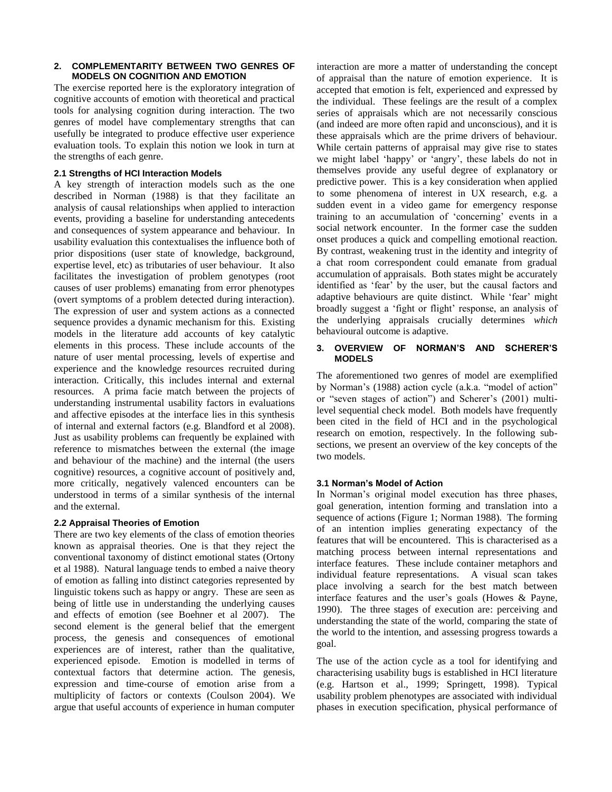#### **2. COMPLEMENTARITY BETWEEN TWO GENRES OF MODELS ON COGNITION AND EMOTION**

The exercise reported here is the exploratory integration of cognitive accounts of emotion with theoretical and practical tools for analysing cognition during interaction. The two genres of model have complementary strengths that can usefully be integrated to produce effective user experience evaluation tools. To explain this notion we look in turn at the strengths of each genre.

#### **2.1 Strengths of HCI Interaction Models**

A key strength of interaction models such as the one described in Norman (1988) is that they facilitate an analysis of causal relationships when applied to interaction events, providing a baseline for understanding antecedents and consequences of system appearance and behaviour. In usability evaluation this contextualises the influence both of prior dispositions (user state of knowledge, background, expertise level, etc) as tributaries of user behaviour. It also facilitates the investigation of problem genotypes (root causes of user problems) emanating from error phenotypes (overt symptoms of a problem detected during interaction). The expression of user and system actions as a connected sequence provides a dynamic mechanism for this. Existing models in the literature add accounts of key catalytic elements in this process. These include accounts of the nature of user mental processing, levels of expertise and experience and the knowledge resources recruited during interaction. Critically, this includes internal and external resources. A prima facie match between the projects of understanding instrumental usability factors in evaluations and affective episodes at the interface lies in this synthesis of internal and external factors (e.g. Blandford et al 2008). Just as usability problems can frequently be explained with reference to mismatches between the external (the image and behaviour of the machine) and the internal (the users cognitive) resources, a cognitive account of positively and, more critically, negatively valenced encounters can be understood in terms of a similar synthesis of the internal and the external.

#### **2.2 Appraisal Theories of Emotion**

There are two key elements of the class of emotion theories known as appraisal theories. One is that they reject the conventional taxonomy of distinct emotional states (Ortony et al 1988). Natural language tends to embed a naive theory of emotion as falling into distinct categories represented by linguistic tokens such as happy or angry. These are seen as being of little use in understanding the underlying causes and effects of emotion (see Boehner et al 2007). The second element is the general belief that the emergent process, the genesis and consequences of emotional experiences are of interest, rather than the qualitative, experienced episode. Emotion is modelled in terms of contextual factors that determine action. The genesis, expression and time-course of emotion arise from a multiplicity of factors or contexts (Coulson 2004). We argue that useful accounts of experience in human computer

interaction are more a matter of understanding the concept of appraisal than the nature of emotion experience. It is accepted that emotion is felt, experienced and expressed by the individual. These feelings are the result of a complex series of appraisals which are not necessarily conscious (and indeed are more often rapid and unconscious), and it is these appraisals which are the prime drivers of behaviour. While certain patterns of appraisal may give rise to states we might label 'happy' or 'angry', these labels do not in themselves provide any useful degree of explanatory or predictive power. This is a key consideration when applied to some phenomena of interest in UX research, e.g. a sudden event in a video game for emergency response training to an accumulation of 'concerning' events in a social network encounter. In the former case the sudden onset produces a quick and compelling emotional reaction. By contrast, weakening trust in the identity and integrity of a chat room correspondent could emanate from gradual accumulation of appraisals. Both states might be accurately identified as 'fear' by the user, but the causal factors and adaptive behaviours are quite distinct. While 'fear' might broadly suggest a 'fight or flight' response, an analysis of the underlying appraisals crucially determines *which* behavioural outcome is adaptive.

#### **3. OVERVIEW OF NORMAN'S AND SCHERER'S MODELS**

The aforementioned two genres of model are exemplified by Norman's (1988) action cycle (a.k.a. "model of action" or "seven stages of action") and Scherer's (2001) multilevel sequential check model. Both models have frequently been cited in the field of HCI and in the psychological research on emotion, respectively. In the following subsections, we present an overview of the key concepts of the two models.

#### **3.1 Norman's Model of Action**

In Norman's original model execution has three phases, goal generation, intention forming and translation into a sequence of actions (Figure 1; Norman 1988). The forming of an intention implies generating expectancy of the features that will be encountered. This is characterised as a matching process between internal representations and interface features. These include container metaphors and individual feature representations. A visual scan takes place involving a search for the best match between interface features and the user's goals (Howes & Payne, 1990). The three stages of execution are: perceiving and understanding the state of the world, comparing the state of the world to the intention, and assessing progress towards a goal.

The use of the action cycle as a tool for identifying and characterising usability bugs is established in HCI literature (e.g. Hartson et al., 1999; Springett, 1998). Typical usability problem phenotypes are associated with individual phases in execution specification, physical performance of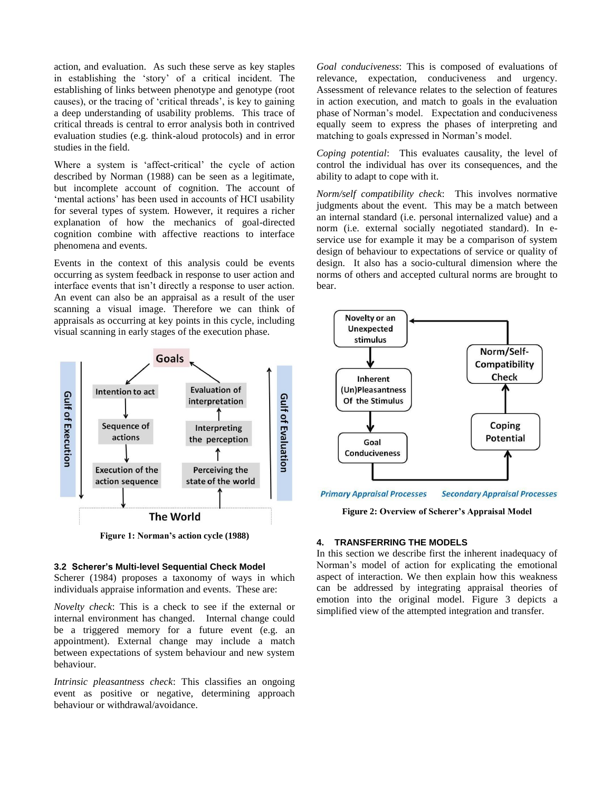action, and evaluation. As such these serve as key staples in establishing the 'story' of a critical incident. The establishing of links between phenotype and genotype (root causes), or the tracing of 'critical threads', is key to gaining a deep understanding of usability problems. This trace of critical threads is central to error analysis both in contrived evaluation studies (e.g. think-aloud protocols) and in error studies in the field.

Where a system is 'affect-critical' the cycle of action described by Norman (1988) can be seen as a legitimate, but incomplete account of cognition. The account of 'mental actions' has been used in accounts of HCI usability for several types of system. However, it requires a richer explanation of how the mechanics of goal-directed cognition combine with affective reactions to interface phenomena and events.

Events in the context of this analysis could be events occurring as system feedback in response to user action and interface events that isn't directly a response to user action. An event can also be an appraisal as a result of the user scanning a visual image. Therefore we can think of appraisals as occurring at key points in this cycle, including visual scanning in early stages of the execution phase.



**Figure 1: Norman's action cycle (1988)**

#### **3.2 Scherer's Multi-level Sequential Check Model**

Scherer (1984) proposes a taxonomy of ways in which individuals appraise information and events. These are:

*Novelty check*: This is a check to see if the external or internal environment has changed. Internal change could be a triggered memory for a future event (e.g. an appointment). External change may include a match between expectations of system behaviour and new system behaviour.

*Intrinsic pleasantness check*: This classifies an ongoing event as positive or negative, determining approach behaviour or withdrawal/avoidance.

*Goal conduciveness*: This is composed of evaluations of relevance, expectation, conduciveness and urgency. Assessment of relevance relates to the selection of features in action execution, and match to goals in the evaluation phase of Norman's model. Expectation and conduciveness equally seem to express the phases of interpreting and matching to goals expressed in Norman's model.

*Coping potential*: This evaluates causality, the level of control the individual has over its consequences, and the ability to adapt to cope with it.

*Norm/self compatibility check*: This involves normative judgments about the event. This may be a match between an internal standard (i.e. personal internalized value) and a norm (i.e. external socially negotiated standard). In eservice use for example it may be a comparison of system design of behaviour to expectations of service or quality of design. It also has a socio-cultural dimension where the norms of others and accepted cultural norms are brought to bear.



**Primary Appraisal Processes Secondary Appraisal Processes** 

**Figure 2: Overview of Scherer's Appraisal Model**

#### **4. TRANSFERRING THE MODELS**

In this section we describe first the inherent inadequacy of Norman's model of action for explicating the emotional aspect of interaction. We then explain how this weakness can be addressed by integrating appraisal theories of emotion into the original model. Figure 3 depicts a simplified view of the attempted integration and transfer.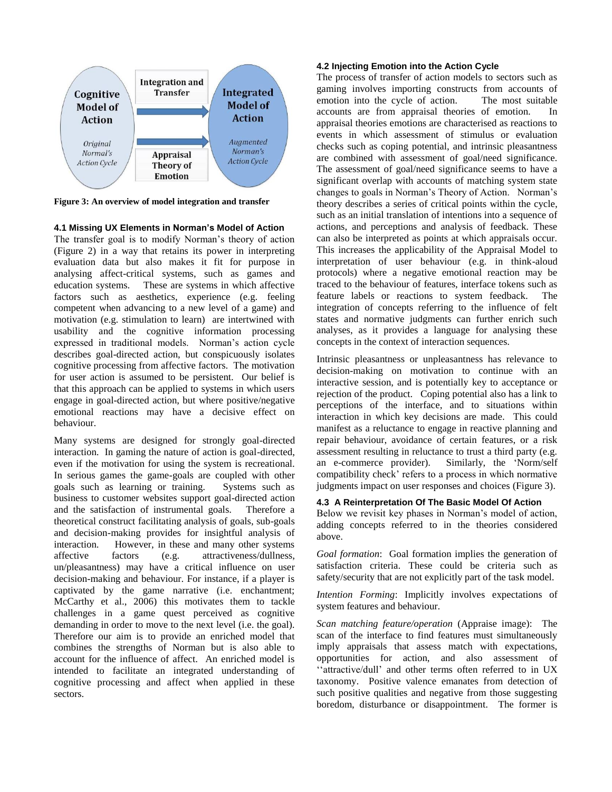

**Figure 3: An overview of model integration and transfer**

#### **4.1 Missing UX Elements in Norman's Model of Action**

The transfer goal is to modify Norman's theory of action (Figure 2) in a way that retains its power in interpreting evaluation data but also makes it fit for purpose in analysing affect-critical systems, such as games and education systems. These are systems in which affective factors such as aesthetics, experience (e.g. feeling competent when advancing to a new level of a game) and motivation (e.g. stimulation to learn) are intertwined with usability and the cognitive information processing expressed in traditional models. Norman's action cycle describes goal-directed action, but conspicuously isolates cognitive processing from affective factors. The motivation for user action is assumed to be persistent. Our belief is that this approach can be applied to systems in which users engage in goal-directed action, but where positive/negative emotional reactions may have a decisive effect on behaviour.

Many systems are designed for strongly goal-directed interaction. In gaming the nature of action is goal-directed, even if the motivation for using the system is recreational. In serious games the game-goals are coupled with other goals such as learning or training. Systems such as business to customer websites support goal-directed action and the satisfaction of instrumental goals. Therefore a theoretical construct facilitating analysis of goals, sub-goals and decision-making provides for insightful analysis of interaction. However, in these and many other systems affective factors (e.g. attractiveness/dullness, un/pleasantness) may have a critical influence on user decision-making and behaviour. For instance, if a player is captivated by the game narrative (i.e. enchantment; McCarthy et al., 2006) this motivates them to tackle challenges in a game quest perceived as cognitive demanding in order to move to the next level (i.e. the goal). Therefore our aim is to provide an enriched model that combines the strengths of Norman but is also able to account for the influence of affect. An enriched model is intended to facilitate an integrated understanding of cognitive processing and affect when applied in these sectors.

#### **4.2 Injecting Emotion into the Action Cycle**

The process of transfer of action models to sectors such as gaming involves importing constructs from accounts of emotion into the cycle of action. The most suitable accounts are from appraisal theories of emotion. In appraisal theories emotions are characterised as reactions to events in which assessment of stimulus or evaluation checks such as coping potential, and intrinsic pleasantness are combined with assessment of goal/need significance. The assessment of goal/need significance seems to have a significant overlap with accounts of matching system state changes to goals in Norman's Theory of Action. Norman's theory describes a series of critical points within the cycle, such as an initial translation of intentions into a sequence of actions, and perceptions and analysis of feedback. These can also be interpreted as points at which appraisals occur. This increases the applicability of the Appraisal Model to interpretation of user behaviour (e.g. in think-aloud protocols) where a negative emotional reaction may be traced to the behaviour of features, interface tokens such as feature labels or reactions to system feedback. The integration of concepts referring to the influence of felt states and normative judgments can further enrich such analyses, as it provides a language for analysing these concepts in the context of interaction sequences.

Intrinsic pleasantness or unpleasantness has relevance to decision-making on motivation to continue with an interactive session, and is potentially key to acceptance or rejection of the product. Coping potential also has a link to perceptions of the interface, and to situations within interaction in which key decisions are made. This could manifest as a reluctance to engage in reactive planning and repair behaviour, avoidance of certain features, or a risk assessment resulting in reluctance to trust a third party (e.g. an e-commerce provider). Similarly, the 'Norm/self compatibility check' refers to a process in which normative judgments impact on user responses and choices (Figure 3).

#### **4.3 A Reinterpretation Of The Basic Model Of Action**

Below we revisit key phases in Norman's model of action, adding concepts referred to in the theories considered above.

*Goal formation*: Goal formation implies the generation of satisfaction criteria. These could be criteria such as safety/security that are not explicitly part of the task model.

*Intention Forming*: Implicitly involves expectations of system features and behaviour.

*Scan matching feature/operation* (Appraise image): The scan of the interface to find features must simultaneously imply appraisals that assess match with expectations, opportunities for action, and also assessment of ''attractive/dull' and other terms often referred to in UX taxonomy. Positive valence emanates from detection of such positive qualities and negative from those suggesting boredom, disturbance or disappointment. The former is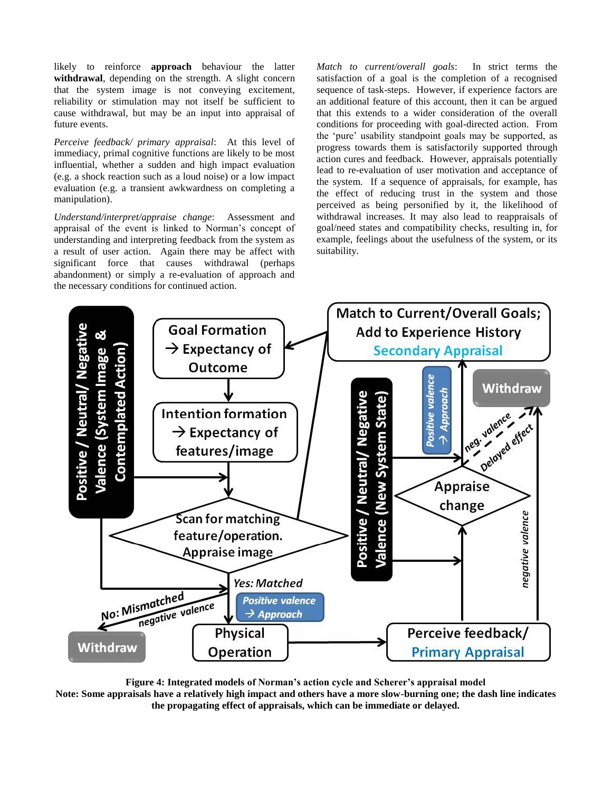likely to reinforce **approach** behaviour the latter **withdrawal**, depending on the strength. A slight concern that the system image is not conveying excitement, reliability or stimulation may not itself be sufficient to cause withdrawal, but may be an input into appraisal of future events.

*Perceive feedback/ primary appraisal*: At this level of immediacy, primal cognitive functions are likely to be most influential, whether a sudden and high impact evaluation (e.g. a shock reaction such as a loud noise) or a low impact evaluation (e.g. a transient awkwardness on completing a manipulation).

*Understand/interpret/appraise change*: Assessment and appraisal of the event is linked to Norman's concept of understanding and interpreting feedback from the system as a result of user action. Again there may be affect with significant force that causes withdrawal (perhaps abandonment) or simply a re-evaluation of approach and the necessary conditions for continued action.

*Match to current/overall goals*: In strict terms the satisfaction of a goal is the completion of a recognised sequence of task-steps. However, if experience factors are an additional feature of this account, then it can be argued that this extends to a wider consideration of the overall conditions for proceeding with goal-directed action. From the 'pure' usability standpoint goals may be supported, as progress towards them is satisfactorily supported through action cures and feedback. However, appraisals potentially lead to re-evaluation of user motivation and acceptance of the system. If a sequence of appraisals, for example, has the effect of reducing trust in the system and those perceived as being personified by it, the likelihood of withdrawal increases. It may also lead to reappraisals of goal/need states and compatibility checks, resulting in, for example, feelings about the usefulness of the system, or its suitability.



**Figure 4: Integrated models of Norman's action cycle and Scherer's appraisal model Note: Some appraisals have a relatively high impact and others have a more slow-burning one; the dash line indicates the propagating effect of appraisals, which can be immediate or delayed.**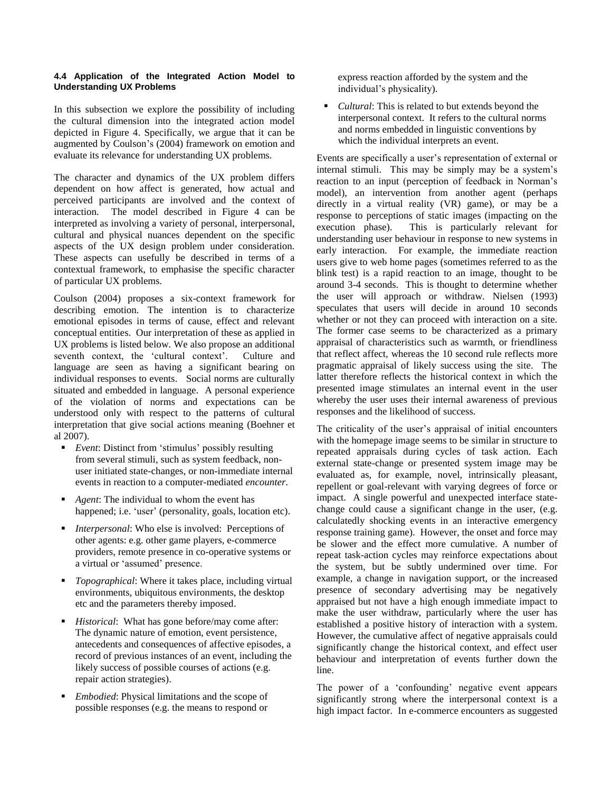#### **4.4 Application of the Integrated Action Model to Understanding UX Problems**

In this subsection we explore the possibility of including the cultural dimension into the integrated action model depicted in Figure 4. Specifically, we argue that it can be augmented by Coulson's (2004) framework on emotion and evaluate its relevance for understanding UX problems.

The character and dynamics of the UX problem differs dependent on how affect is generated, how actual and perceived participants are involved and the context of interaction. The model described in Figure 4 can be interpreted as involving a variety of personal, interpersonal, cultural and physical nuances dependent on the specific aspects of the UX design problem under consideration. These aspects can usefully be described in terms of a contextual framework, to emphasise the specific character of particular UX problems.

Coulson (2004) proposes a six-context framework for describing emotion. The intention is to characterize emotional episodes in terms of cause, effect and relevant conceptual entities. Our interpretation of these as applied in UX problems is listed below. We also propose an additional seventh context, the 'cultural context'. Culture and language are seen as having a significant bearing on individual responses to events. Social norms are culturally situated and embedded in language. A personal experience of the violation of norms and expectations can be understood only with respect to the patterns of cultural interpretation that give social actions meaning (Boehner et al 2007).

- *Event*: Distinct from 'stimulus' possibly resulting from several stimuli, such as system feedback, nonuser initiated state-changes, or non-immediate internal events in reaction to a computer-mediated *encounter*.
- *Agent*: The individual to whom the event has happened; i.e. 'user' (personality, goals, location etc).
- *Interpersonal*: Who else is involved: Perceptions of other agents: e.g. other game players, e-commerce providers, remote presence in co-operative systems or a virtual or 'assumed' presence.
- *Topographical*: Where it takes place, including virtual environments, ubiquitous environments, the desktop etc and the parameters thereby imposed.
- *Historical*: What has gone before/may come after: The dynamic nature of emotion, event persistence, antecedents and consequences of affective episodes, a record of previous instances of an event, including the likely success of possible courses of actions (e.g. repair action strategies).
- *Embodied*: Physical limitations and the scope of possible responses (e.g. the means to respond or

express reaction afforded by the system and the individual's physicality).

 *Cultural*: This is related to but extends beyond the interpersonal context. It refers to the cultural norms and norms embedded in linguistic conventions by which the individual interprets an event.

Events are specifically a user's representation of external or internal stimuli. This may be simply may be a system's reaction to an input (perception of feedback in Norman's model), an intervention from another agent (perhaps directly in a virtual reality (VR) game), or may be a response to perceptions of static images (impacting on the execution phase). This is particularly relevant for This is particularly relevant for understanding user behaviour in response to new systems in early interaction. For example, the immediate reaction users give to web home pages (sometimes referred to as the blink test) is a rapid reaction to an image, thought to be around 3-4 seconds. This is thought to determine whether the user will approach or withdraw. Nielsen (1993) speculates that users will decide in around 10 seconds whether or not they can proceed with interaction on a site. The former case seems to be characterized as a primary appraisal of characteristics such as warmth, or friendliness that reflect affect, whereas the 10 second rule reflects more pragmatic appraisal of likely success using the site. The latter therefore reflects the historical context in which the presented image stimulates an internal event in the user whereby the user uses their internal awareness of previous responses and the likelihood of success.

The criticality of the user's appraisal of initial encounters with the homepage image seems to be similar in structure to repeated appraisals during cycles of task action. Each external state-change or presented system image may be evaluated as, for example, novel, intrinsically pleasant, repellent or goal-relevant with varying degrees of force or impact. A single powerful and unexpected interface statechange could cause a significant change in the user, (e.g. calculatedly shocking events in an interactive emergency response training game). However, the onset and force may be slower and the effect more cumulative. A number of repeat task-action cycles may reinforce expectations about the system, but be subtly undermined over time. For example, a change in navigation support, or the increased presence of secondary advertising may be negatively appraised but not have a high enough immediate impact to make the user withdraw, particularly where the user has established a positive history of interaction with a system. However, the cumulative affect of negative appraisals could significantly change the historical context, and effect user behaviour and interpretation of events further down the line.

The power of a 'confounding' negative event appears significantly strong where the interpersonal context is a high impact factor. In e-commerce encounters as suggested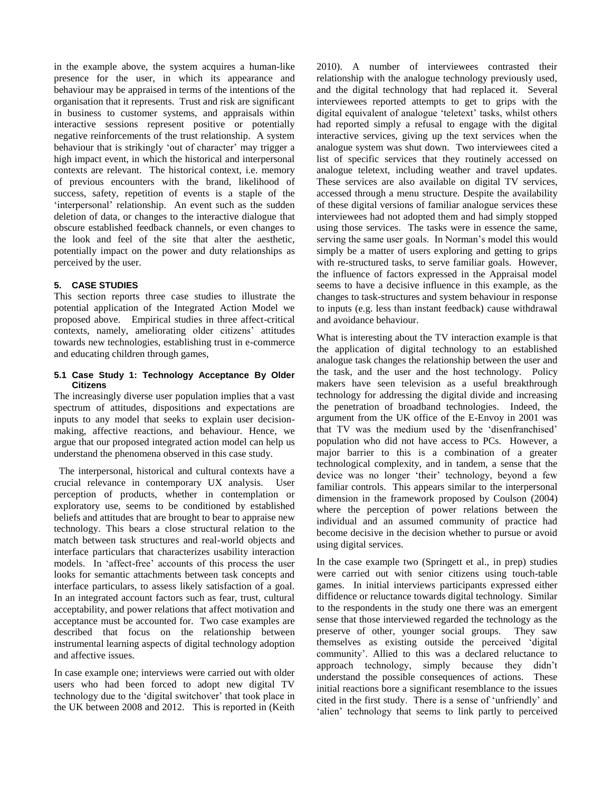in the example above, the system acquires a human-like presence for the user, in which its appearance and behaviour may be appraised in terms of the intentions of the organisation that it represents. Trust and risk are significant in business to customer systems, and appraisals within interactive sessions represent positive or potentially negative reinforcements of the trust relationship. A system behaviour that is strikingly 'out of character' may trigger a high impact event, in which the historical and interpersonal contexts are relevant. The historical context, i.e. memory of previous encounters with the brand, likelihood of success, safety, repetition of events is a staple of the 'interpersonal' relationship. An event such as the sudden deletion of data, or changes to the interactive dialogue that obscure established feedback channels, or even changes to the look and feel of the site that alter the aesthetic, potentially impact on the power and duty relationships as perceived by the user.

#### **5. CASE STUDIES**

This section reports three case studies to illustrate the potential application of the Integrated Action Model we proposed above. Empirical studies in three affect-critical contexts, namely, ameliorating older citizens' attitudes towards new technologies, establishing trust in e-commerce and educating children through games,

#### **5.1 Case Study 1: Technology Acceptance By Older Citizens**

The increasingly diverse user population implies that a vast spectrum of attitudes, dispositions and expectations are inputs to any model that seeks to explain user decisionmaking, affective reactions, and behaviour. Hence, we argue that our proposed integrated action model can help us understand the phenomena observed in this case study.

 The interpersonal, historical and cultural contexts have a crucial relevance in contemporary UX analysis. User perception of products, whether in contemplation or exploratory use, seems to be conditioned by established beliefs and attitudes that are brought to bear to appraise new technology. This bears a close structural relation to the match between task structures and real-world objects and interface particulars that characterizes usability interaction models. In 'affect-free' accounts of this process the user looks for semantic attachments between task concepts and interface particulars, to assess likely satisfaction of a goal. In an integrated account factors such as fear, trust, cultural acceptability, and power relations that affect motivation and acceptance must be accounted for. Two case examples are described that focus on the relationship between instrumental learning aspects of digital technology adoption and affective issues.

In case example one; interviews were carried out with older users who had been forced to adopt new digital TV technology due to the 'digital switchover' that took place in the UK between 2008 and 2012. This is reported in (Keith

2010). A number of interviewees contrasted their relationship with the analogue technology previously used, and the digital technology that had replaced it. Several interviewees reported attempts to get to grips with the digital equivalent of analogue 'teletext' tasks, whilst others had reported simply a refusal to engage with the digital interactive services, giving up the text services when the analogue system was shut down. Two interviewees cited a list of specific services that they routinely accessed on analogue teletext, including weather and travel updates. These services are also available on digital TV services, accessed through a menu structure. Despite the availability of these digital versions of familiar analogue services these interviewees had not adopted them and had simply stopped using those services. The tasks were in essence the same, serving the same user goals. In Norman's model this would simply be a matter of users exploring and getting to grips with re-structured tasks, to serve familiar goals. However, the influence of factors expressed in the Appraisal model seems to have a decisive influence in this example, as the changes to task-structures and system behaviour in response to inputs (e.g. less than instant feedback) cause withdrawal and avoidance behaviour.

What is interesting about the TV interaction example is that the application of digital technology to an established analogue task changes the relationship between the user and the task, and the user and the host technology. Policy makers have seen television as a useful breakthrough technology for addressing the digital divide and increasing the penetration of broadband technologies. Indeed, the argument from the UK office of the E-Envoy in 2001 was that TV was the medium used by the 'disenfranchised' population who did not have access to PCs. However, a major barrier to this is a combination of a greater technological complexity, and in tandem, a sense that the device was no longer 'their' technology, beyond a few familiar controls. This appears similar to the interpersonal dimension in the framework proposed by Coulson (2004) where the perception of power relations between the individual and an assumed community of practice had become decisive in the decision whether to pursue or avoid using digital services.

In the case example two (Springett et al., in prep) studies were carried out with senior citizens using touch-table games. In initial interviews participants expressed either diffidence or reluctance towards digital technology. Similar to the respondents in the study one there was an emergent sense that those interviewed regarded the technology as the preserve of other, younger social groups. They saw themselves as existing outside the perceived 'digital community'. Allied to this was a declared reluctance to approach technology, simply because they didn't understand the possible consequences of actions. These initial reactions bore a significant resemblance to the issues cited in the first study. There is a sense of 'unfriendly' and 'alien' technology that seems to link partly to perceived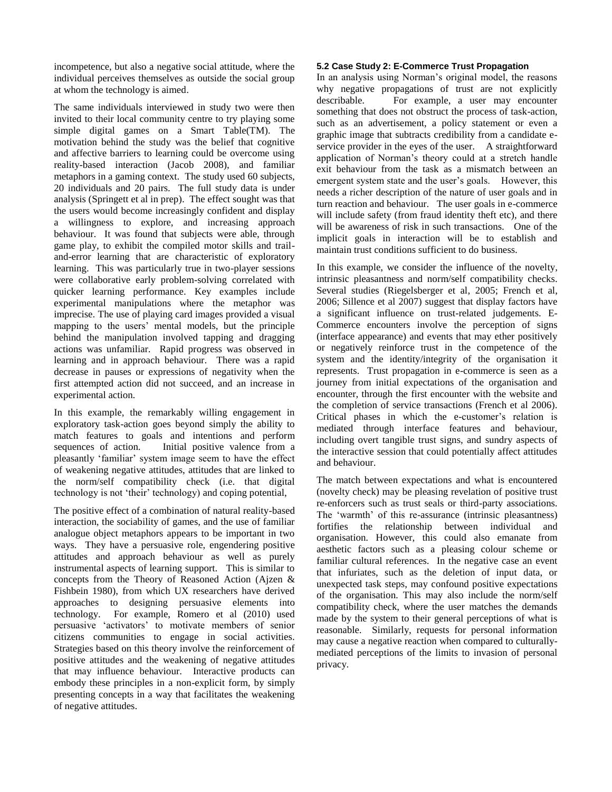incompetence, but also a negative social attitude, where the individual perceives themselves as outside the social group at whom the technology is aimed.

The same individuals interviewed in study two were then invited to their local community centre to try playing some simple digital games on a Smart Table(TM). The motivation behind the study was the belief that cognitive and affective barriers to learning could be overcome using reality-based interaction (Jacob 2008), and familiar metaphors in a gaming context. The study used 60 subjects, 20 individuals and 20 pairs. The full study data is under analysis (Springett et al in prep). The effect sought was that the users would become increasingly confident and display a willingness to explore, and increasing approach behaviour. It was found that subjects were able, through game play, to exhibit the compiled motor skills and trailand-error learning that are characteristic of exploratory learning. This was particularly true in two-player sessions were collaborative early problem-solving correlated with quicker learning performance. Key examples include experimental manipulations where the metaphor was imprecise. The use of playing card images provided a visual mapping to the users' mental models, but the principle behind the manipulation involved tapping and dragging actions was unfamiliar. Rapid progress was observed in learning and in approach behaviour. There was a rapid decrease in pauses or expressions of negativity when the first attempted action did not succeed, and an increase in experimental action.

In this example, the remarkably willing engagement in exploratory task-action goes beyond simply the ability to match features to goals and intentions and perform sequences of action. Initial positive valence from a pleasantly 'familiar' system image seem to have the effect of weakening negative attitudes, attitudes that are linked to the norm/self compatibility check (i.e. that digital technology is not 'their' technology) and coping potential,

The positive effect of a combination of natural reality-based interaction, the sociability of games, and the use of familiar analogue object metaphors appears to be important in two ways. They have a persuasive role, engendering positive attitudes and approach behaviour as well as purely instrumental aspects of learning support. This is similar to concepts from the Theory of Reasoned Action (Ajzen & Fishbein 1980), from which UX researchers have derived approaches to designing persuasive elements into technology. For example, Romero et al (2010) used persuasive 'activators' to motivate members of senior citizens communities to engage in social activities. Strategies based on this theory involve the reinforcement of positive attitudes and the weakening of negative attitudes that may influence behaviour. Interactive products can embody these principles in a non-explicit form, by simply presenting concepts in a way that facilitates the weakening of negative attitudes.

#### **5.2 Case Study 2: E-Commerce Trust Propagation**

In an analysis using Norman's original model, the reasons why negative propagations of trust are not explicitly describable. For example, a user may encounter something that does not obstruct the process of task-action, such as an advertisement, a policy statement or even a graphic image that subtracts credibility from a candidate eservice provider in the eyes of the user. A straightforward application of Norman's theory could at a stretch handle exit behaviour from the task as a mismatch between an emergent system state and the user's goals. However, this needs a richer description of the nature of user goals and in turn reaction and behaviour. The user goals in e-commerce will include safety (from fraud identity theft etc), and there will be awareness of risk in such transactions. One of the implicit goals in interaction will be to establish and maintain trust conditions sufficient to do business.

In this example, we consider the influence of the novelty, intrinsic pleasantness and norm/self compatibility checks. Several studies (Riegelsberger et al, 2005; French et al, 2006; Sillence et al 2007) suggest that display factors have a significant influence on trust-related judgements. E-Commerce encounters involve the perception of signs (interface appearance) and events that may ether positively or negatively reinforce trust in the competence of the system and the identity/integrity of the organisation it represents. Trust propagation in e-commerce is seen as a journey from initial expectations of the organisation and encounter, through the first encounter with the website and the completion of service transactions (French et al 2006). Critical phases in which the e-customer's relation is mediated through interface features and behaviour, including overt tangible trust signs, and sundry aspects of the interactive session that could potentially affect attitudes and behaviour.

The match between expectations and what is encountered (novelty check) may be pleasing revelation of positive trust re-enforcers such as trust seals or third-party associations. The 'warmth' of this re-assurance (intrinsic pleasantness) fortifies the relationship between individual and organisation. However, this could also emanate from aesthetic factors such as a pleasing colour scheme or familiar cultural references. In the negative case an event that infuriates, such as the deletion of input data, or unexpected task steps, may confound positive expectations of the organisation. This may also include the norm/self compatibility check, where the user matches the demands made by the system to their general perceptions of what is reasonable. Similarly, requests for personal information may cause a negative reaction when compared to culturallymediated perceptions of the limits to invasion of personal privacy.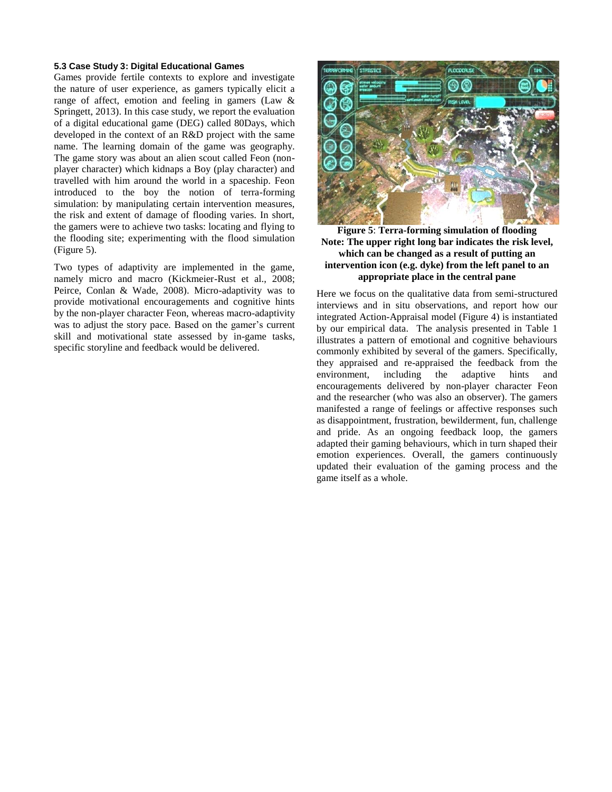#### **5.3 Case Study 3: Digital Educational Games**

Games provide fertile contexts to explore and investigate the nature of user experience, as gamers typically elicit a range of affect, emotion and feeling in gamers (Law & Springett, 2013). In this case study, we report the evaluation of a digital educational game (DEG) called 80Days, which developed in the context of an R&D project with the same name. The learning domain of the game was geography. The game story was about an alien scout called Feon (nonplayer character) which kidnaps a Boy (play character) and travelled with him around the world in a spaceship. Feon introduced to the boy the notion of terra-forming simulation: by manipulating certain intervention measures, the risk and extent of damage of flooding varies. In short, the gamers were to achieve two tasks: locating and flying to the flooding site; experimenting with the flood simulation (Figure 5).

Two types of adaptivity are implemented in the game, namely micro and macro (Kickmeier-Rust et al., 2008; Peirce, Conlan & Wade, 2008). Micro-adaptivity was to provide motivational encouragements and cognitive hints by the non-player character Feon, whereas macro-adaptivity was to adjust the story pace. Based on the gamer's current skill and motivational state assessed by in-game tasks, specific storyline and feedback would be delivered.



**Figure 5**: **Terra-forming simulation of flooding Note: The upper right long bar indicates the risk level, which can be changed as a result of putting an intervention icon (e.g. dyke) from the left panel to an appropriate place in the central pane**

Here we focus on the qualitative data from semi-structured interviews and in situ observations, and report how our integrated Action-Appraisal model (Figure 4) is instantiated by our empirical data. The analysis presented in Table 1 illustrates a pattern of emotional and cognitive behaviours commonly exhibited by several of the gamers. Specifically, they appraised and re-appraised the feedback from the environment, including the adaptive hints and encouragements delivered by non-player character Feon and the researcher (who was also an observer). The gamers manifested a range of feelings or affective responses such as disappointment, frustration, bewilderment, fun, challenge and pride. As an ongoing feedback loop, the gamers adapted their gaming behaviours, which in turn shaped their emotion experiences. Overall, the gamers continuously updated their evaluation of the gaming process and the game itself as a whole.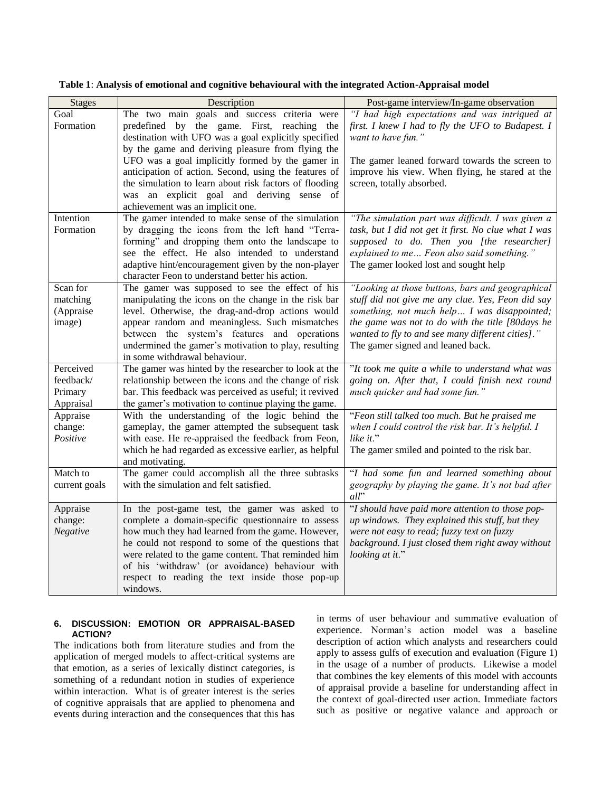| <b>Stages</b> | Description                                                          | Post-game interview/In-game observation                  |
|---------------|----------------------------------------------------------------------|----------------------------------------------------------|
| Goal          | The two main goals and success criteria were                         | "I had high expectations and was intrigued at            |
| Formation     | predefined by the game. First, reaching the                          | first. I knew I had to fly the UFO to Budapest. I        |
|               | destination with UFO was a goal explicitly specified                 | want to have fun."                                       |
|               | by the game and deriving pleasure from flying the                    |                                                          |
|               | UFO was a goal implicitly formed by the gamer in                     | The gamer leaned forward towards the screen to           |
|               | anticipation of action. Second, using the features of                | improve his view. When flying, he stared at the          |
|               | the simulation to learn about risk factors of flooding               | screen, totally absorbed.                                |
|               | was an explicit goal and deriving sense of                           |                                                          |
|               | achievement was an implicit one.                                     |                                                          |
| Intention     | The gamer intended to make sense of the simulation                   | "The simulation part was difficult. I was given a        |
| Formation     | by dragging the icons from the left hand "Terra-                     | task, but I did not get it first. No clue what I was     |
|               | forming" and dropping them onto the landscape to                     | supposed to do. Then you [the researcher]                |
|               | see the effect. He also intended to understand                       | explained to me Feon also said something."               |
|               | adaptive hint/encouragement given by the non-player                  | The gamer looked lost and sought help                    |
|               | character Feon to understand better his action.                      |                                                          |
| Scan for      | The gamer was supposed to see the effect of his                      | "Looking at those buttons, bars and geographical         |
| matching      | manipulating the icons on the change in the risk bar                 | stuff did not give me any clue. Yes, Feon did say        |
| (Appraise     | level. Otherwise, the drag-and-drop actions would                    | something, not much help I was disappointed;             |
| image)        | appear random and meaningless. Such mismatches                       | the game was not to do with the title [80days he         |
|               | between the system's features and operations                         | wanted to fly to and see many different cities]."        |
|               | undermined the gamer's motivation to play, resulting                 | The gamer signed and leaned back.                        |
|               | in some withdrawal behaviour.                                        |                                                          |
| Perceived     | The gamer was hinted by the researcher to look at the                | "It took me quite a while to understand what was         |
| feedback/     | relationship between the icons and the change of risk                | going on. After that, I could finish next round          |
| Primary       | bar. This feedback was perceived as useful; it revived               | much quicker and had some fun."                          |
| Appraisal     | the gamer's motivation to continue playing the game.                 |                                                          |
| Appraise      | With the understanding of the logic behind the                       | "Feon still talked too much. But he praised me           |
| change:       | gameplay, the gamer attempted the subsequent task                    | when I could control the risk bar. It's helpful. I       |
| Positive      | with ease. He re-appraised the feedback from Feon,                   | like it."                                                |
|               | which he had regarded as excessive earlier, as helpful               | The gamer smiled and pointed to the risk bar.            |
| Match to      | and motivating.<br>The gamer could accomplish all the three subtasks |                                                          |
|               | with the simulation and felt satisfied.                              | "I had some fun and learned something about              |
| current goals |                                                                      | geography by playing the game. It's not bad after<br>all |
| Appraise      | In the post-game test, the gamer was asked to                        | "I should have paid more attention to those pop-         |
| change:       | complete a domain-specific questionnaire to assess                   | up windows. They explained this stuff, but they          |
| Negative      | how much they had learned from the game. However,                    | were not easy to read; fuzzy text on fuzzy               |
|               | he could not respond to some of the questions that                   | background. I just closed them right away without        |
|               | were related to the game content. That reminded him                  | looking at it."                                          |
|               | of his 'withdraw' (or avoidance) behaviour with                      |                                                          |
|               | respect to reading the text inside those pop-up                      |                                                          |
|               | windows.                                                             |                                                          |

**Table 1**: **Analysis of emotional and cognitive behavioural with the integrated Action-Appraisal model**

#### **6. DISCUSSION: EMOTION OR APPRAISAL-BASED ACTION?**

The indications both from literature studies and from the application of merged models to affect-critical systems are that emotion, as a series of lexically distinct categories, is something of a redundant notion in studies of experience within interaction. What is of greater interest is the series of cognitive appraisals that are applied to phenomena and events during interaction and the consequences that this has in terms of user behaviour and summative evaluation of experience. Norman's action model was a baseline description of action which analysts and researchers could apply to assess gulfs of execution and evaluation (Figure 1) in the usage of a number of products. Likewise a model that combines the key elements of this model with accounts of appraisal provide a baseline for understanding affect in the context of goal-directed user action. Immediate factors such as positive or negative valance and approach or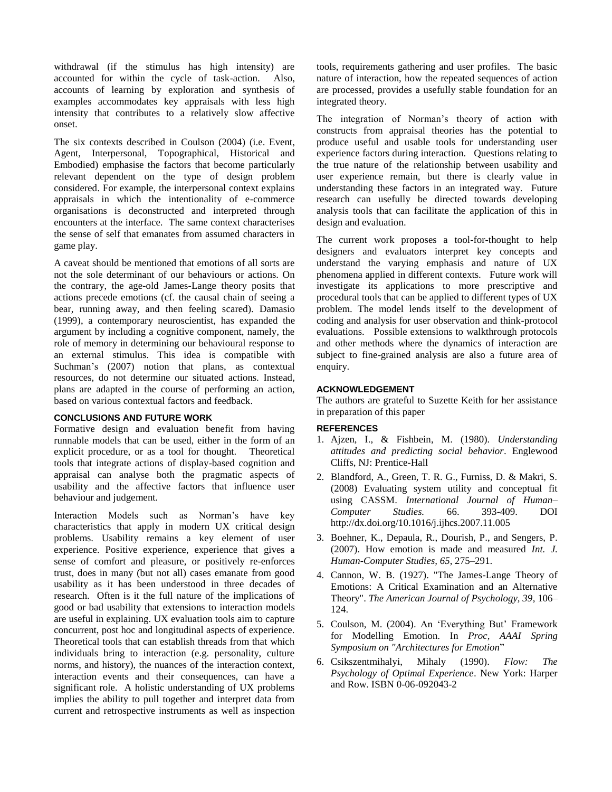withdrawal (if the stimulus has high intensity) are accounted for within the cycle of task-action. Also, accounts of learning by exploration and synthesis of examples accommodates key appraisals with less high intensity that contributes to a relatively slow affective onset.

The six contexts described in Coulson (2004) (i.e. Event, Agent, Interpersonal, Topographical, Historical and Embodied) emphasise the factors that become particularly relevant dependent on the type of design problem considered. For example, the interpersonal context explains appraisals in which the intentionality of e-commerce organisations is deconstructed and interpreted through encounters at the interface. The same context characterises the sense of self that emanates from assumed characters in game play.

A caveat should be mentioned that emotions of all sorts are not the sole determinant of our behaviours or actions. On the contrary, the age-old James-Lange theory posits that actions precede emotions (cf. the causal chain of seeing a bear, running away, and then feeling scared). Damasio (1999), a contemporary neuroscientist, has expanded the argument by including a cognitive component, namely, the role of memory in determining our behavioural response to an external stimulus. This idea is compatible with Suchman's (2007) notion that plans, as contextual resources, do not determine our situated actions. Instead, plans are adapted in the course of performing an action, based on various contextual factors and feedback.

#### **CONCLUSIONS AND FUTURE WORK**

Formative design and evaluation benefit from having runnable models that can be used, either in the form of an explicit procedure, or as a tool for thought. Theoretical tools that integrate actions of display-based cognition and appraisal can analyse both the pragmatic aspects of usability and the affective factors that influence user behaviour and judgement.

Interaction Models such as Norman's have key characteristics that apply in modern UX critical design problems. Usability remains a key element of user experience. Positive experience, experience that gives a sense of comfort and pleasure, or positively re-enforces trust, does in many (but not all) cases emanate from good usability as it has been understood in three decades of research. Often is it the full nature of the implications of good or bad usability that extensions to interaction models are useful in explaining. UX evaluation tools aim to capture concurrent, post hoc and longitudinal aspects of experience. Theoretical tools that can establish threads from that which individuals bring to interaction (e.g. personality, culture norms, and history), the nuances of the interaction context, interaction events and their consequences, can have a significant role. A holistic understanding of UX problems implies the ability to pull together and interpret data from current and retrospective instruments as well as inspection tools, requirements gathering and user profiles. The basic nature of interaction, how the repeated sequences of action are processed, provides a usefully stable foundation for an integrated theory.

The integration of Norman's theory of action with constructs from appraisal theories has the potential to produce useful and usable tools for understanding user experience factors during interaction. Questions relating to the true nature of the relationship between usability and user experience remain, but there is clearly value in understanding these factors in an integrated way. Future research can usefully be directed towards developing analysis tools that can facilitate the application of this in design and evaluation.

The current work proposes a tool-for-thought to help designers and evaluators interpret key concepts and understand the varying emphasis and nature of UX phenomena applied in different contexts. Future work will investigate its applications to more prescriptive and procedural tools that can be applied to different types of UX problem. The model lends itself to the development of coding and analysis for user observation and think-protocol evaluations. Possible extensions to walkthrough protocols and other methods where the dynamics of interaction are subject to fine-grained analysis are also a future area of enquiry.

#### **ACKNOWLEDGEMENT**

The authors are grateful to Suzette Keith for her assistance in preparation of this paper

#### **REFERENCES**

- 1. Ajzen, I., & Fishbein, M. (1980). *Understanding attitudes and predicting social behavior*. Englewood Cliffs, NJ: Prentice-Hall
- 2. Blandford, A., Green, T. R. G., Furniss, D. & Makri, S. (2008) [Evaluating system utility and conceptual fit](http://www.uclic.ucl.ac.uk/annb/docs/abtgdfsmIJHCSpreprint.pdf)  [using CASSM.](http://www.uclic.ucl.ac.uk/annb/docs/abtgdfsmIJHCSpreprint.pdf) *International Journal of Human– Computer Studies.* 66. 393-409. DOI http://dx.doi.org/10.1016/j.ijhcs.2007.11.005
- 3. Boehner, K., Depaula, R., Dourish, P., and Sengers, P. (2007). How emotion is made and measured *Int. J. Human-Computer Studies, 65*, 275–291.
- 4. Cannon, W. B. (1927). "The James-Lange Theory of Emotions: A Critical Examination and an Alternative Theory". *The American Journal of Psychology, 39*, 106– 124.
- 5. Coulson, M. (2004). An 'Everything But' Framework for Modelling Emotion. In *Proc, AAAI Spring Symposium on "Architectures for Emotion*"
- 6. Csikszentmihalyi, Mihaly (1990). *Flow: The Psychology of Optimal Experience*. New York: Harper and Row. [ISBN 0-06-092043-2](http://en.wikipedia.org/wiki/Special:BookSources/0060920432)